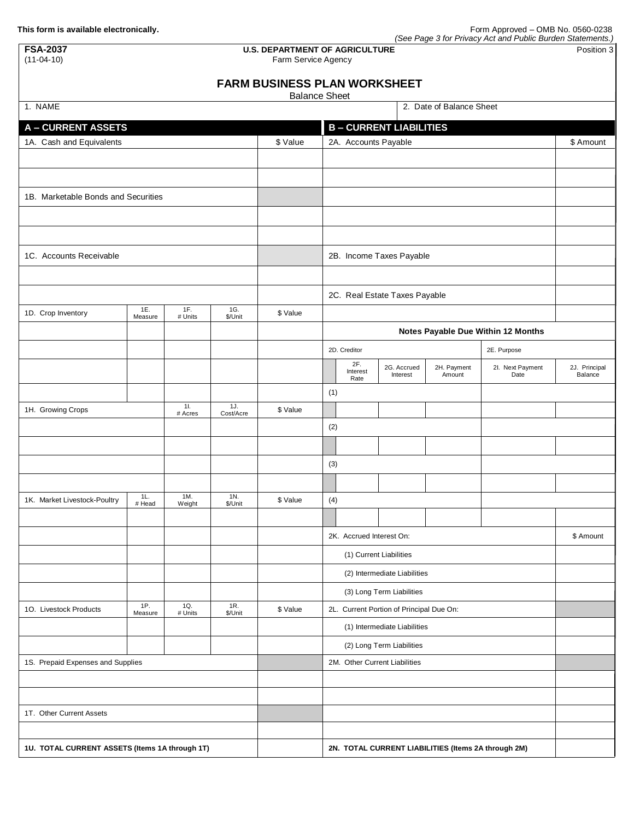| (See Page 3 for Privacy Act and Public Burden Statements.) |  |
|------------------------------------------------------------|--|
|                                                            |  |

| <b>FSA-2037</b><br><b>U.S. DEPARTMENT OF AGRICULTURE</b><br>$(11-04-10)$<br>Farm Service Agency |                |                |                |                                     |                           |                          |                                          |                                                     | Position 3                         |                          |
|-------------------------------------------------------------------------------------------------|----------------|----------------|----------------|-------------------------------------|---------------------------|--------------------------|------------------------------------------|-----------------------------------------------------|------------------------------------|--------------------------|
|                                                                                                 |                |                |                | <b>FARM BUSINESS PLAN WORKSHEET</b> |                           |                          |                                          |                                                     |                                    |                          |
| 1. NAME                                                                                         |                |                |                | <b>Balance Sheet</b>                |                           |                          |                                          | 2. Date of Balance Sheet                            |                                    |                          |
| <b>A-CURRENT ASSETS</b>                                                                         |                |                |                |                                     |                           |                          | <b>B-CURRENT LIABILITIES</b>             |                                                     |                                    |                          |
| 1A. Cash and Equivalents                                                                        |                |                |                | \$ Value                            |                           | 2A. Accounts Payable     |                                          | \$ Amount                                           |                                    |                          |
|                                                                                                 |                |                |                |                                     |                           |                          |                                          |                                                     |                                    |                          |
|                                                                                                 |                |                |                |                                     |                           |                          |                                          |                                                     |                                    |                          |
| 1B. Marketable Bonds and Securities                                                             |                |                |                |                                     |                           |                          |                                          |                                                     |                                    |                          |
|                                                                                                 |                |                |                |                                     |                           |                          |                                          |                                                     |                                    |                          |
|                                                                                                 |                |                |                |                                     |                           |                          |                                          |                                                     |                                    |                          |
| 1C. Accounts Receivable                                                                         |                |                |                |                                     |                           |                          | 2B. Income Taxes Payable                 |                                                     |                                    |                          |
|                                                                                                 |                |                |                |                                     |                           |                          |                                          |                                                     |                                    |                          |
|                                                                                                 |                |                |                |                                     |                           |                          | 2C. Real Estate Taxes Payable            |                                                     |                                    |                          |
| 1D. Crop Inventory                                                                              | 1E.<br>Measure | 1F.<br># Units | 1G.<br>\$/Unit | \$ Value                            |                           |                          |                                          |                                                     |                                    |                          |
|                                                                                                 |                |                |                |                                     |                           |                          |                                          |                                                     | Notes Payable Due Within 12 Months |                          |
|                                                                                                 |                |                |                |                                     |                           | 2D. Creditor             |                                          |                                                     | 2E. Purpose                        |                          |
|                                                                                                 |                |                |                |                                     |                           | 2F.<br>Interest<br>Rate  | 2G. Accrued<br>Interest                  | 2H. Payment<br>Amount                               | 2I. Next Payment<br>Date           | 2J. Principal<br>Balance |
|                                                                                                 |                |                |                |                                     | (1)                       |                          |                                          |                                                     |                                    |                          |
| 11.<br>1J.<br>1H. Growing Crops<br>Cost/Acre<br># Acres                                         |                | \$ Value       |                |                                     |                           |                          |                                          |                                                     |                                    |                          |
|                                                                                                 |                |                |                |                                     | (2)                       |                          |                                          |                                                     |                                    |                          |
|                                                                                                 |                |                |                |                                     |                           |                          |                                          |                                                     |                                    |                          |
|                                                                                                 |                |                |                |                                     | (3)                       |                          |                                          |                                                     |                                    |                          |
|                                                                                                 | 1L.            | 1M.            | 1N.            |                                     |                           |                          |                                          |                                                     |                                    |                          |
| 1K. Market Livestock-Poultry                                                                    | # Head         | Weight         | \$/Unit        | \$ Value                            | (4)                       |                          |                                          |                                                     |                                    |                          |
|                                                                                                 |                |                |                |                                     |                           | 2K. Accrued Interest On: |                                          |                                                     |                                    | \$ Amount                |
|                                                                                                 |                |                |                |                                     |                           |                          |                                          |                                                     |                                    |                          |
|                                                                                                 |                |                |                |                                     |                           |                          | (2) Intermediate Liabilities             |                                                     |                                    |                          |
|                                                                                                 |                |                |                |                                     |                           |                          | (3) Long Term Liabilities                |                                                     |                                    |                          |
| 10. Livestock Products                                                                          | 1P.<br>Measure | 1Q.<br># Units | 1R.<br>\$/Unit | \$ Value                            |                           |                          | 2L. Current Portion of Principal Due On: |                                                     |                                    |                          |
|                                                                                                 |                |                |                |                                     |                           |                          | (1) Intermediate Liabilities             |                                                     |                                    |                          |
|                                                                                                 |                |                |                |                                     | (2) Long Term Liabilities |                          |                                          |                                                     |                                    |                          |
| 1S. Prepaid Expenses and Supplies                                                               |                |                |                |                                     |                           |                          | 2M. Other Current Liabilities            |                                                     |                                    |                          |
|                                                                                                 |                |                |                |                                     |                           |                          |                                          |                                                     |                                    |                          |
|                                                                                                 |                |                |                |                                     |                           |                          |                                          |                                                     |                                    |                          |
| 1T. Other Current Assets                                                                        |                |                |                |                                     |                           |                          |                                          |                                                     |                                    |                          |
| 1U. TOTAL CURRENT ASSETS (Items 1A through 1T)                                                  |                |                |                |                                     |                           |                          |                                          | 2N. TOTAL CURRENT LIABILITIES (Items 2A through 2M) |                                    |                          |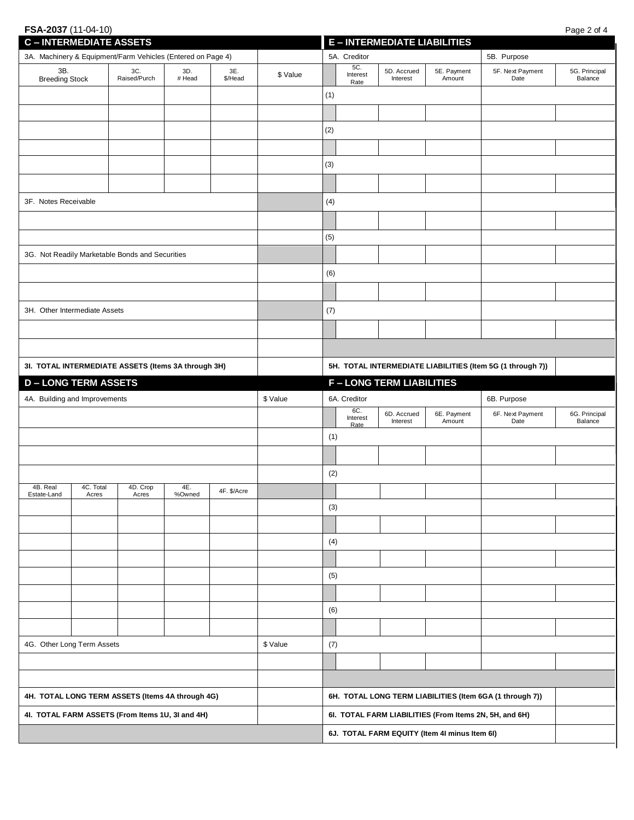## **FSA-2037** (11-04-10) Page 2 of 4

| <b>C-INTERMEDIATE ASSETS</b>                                |                                                  |                                                  |               |                | <b>E-INTERMEDIATE LIABILITIES</b> |                                                        |                                                            |                                |                          |                                                          |                          |
|-------------------------------------------------------------|--------------------------------------------------|--------------------------------------------------|---------------|----------------|-----------------------------------|--------------------------------------------------------|------------------------------------------------------------|--------------------------------|--------------------------|----------------------------------------------------------|--------------------------|
| 3A. Machinery & Equipment/Farm Vehicles (Entered on Page 4) |                                                  |                                                  |               |                |                                   | 5A. Creditor                                           |                                                            |                                | 5B. Purpose              |                                                          |                          |
| 3B.<br><b>Breeding Stock</b>                                |                                                  | 3C.<br>Raised/Purch                              | 3D.<br># Head | 3E.<br>\$/Head | \$ Value                          |                                                        | 5C.<br>Interest<br>Rate                                    | 5D. Accrued<br>Interest        | 5E. Payment<br>Amount    | 5F. Next Payment<br>Date                                 | 5G. Principal<br>Balance |
|                                                             |                                                  |                                                  |               |                |                                   | (1)                                                    |                                                            |                                |                          |                                                          |                          |
|                                                             |                                                  |                                                  |               |                |                                   |                                                        |                                                            |                                |                          |                                                          |                          |
|                                                             |                                                  |                                                  |               |                |                                   | (2)                                                    |                                                            |                                |                          |                                                          |                          |
|                                                             |                                                  |                                                  |               |                |                                   |                                                        |                                                            |                                |                          |                                                          |                          |
|                                                             |                                                  |                                                  |               |                |                                   | (3)                                                    |                                                            |                                |                          |                                                          |                          |
|                                                             |                                                  |                                                  |               |                |                                   |                                                        |                                                            |                                |                          |                                                          |                          |
| 3F. Notes Receivable                                        |                                                  |                                                  |               |                |                                   | (4)                                                    |                                                            |                                |                          |                                                          |                          |
|                                                             |                                                  |                                                  |               |                |                                   |                                                        |                                                            |                                |                          |                                                          |                          |
|                                                             |                                                  |                                                  |               |                |                                   | (5)                                                    |                                                            |                                |                          |                                                          |                          |
|                                                             |                                                  | 3G. Not Readily Marketable Bonds and Securities  |               |                |                                   |                                                        |                                                            |                                |                          |                                                          |                          |
|                                                             |                                                  |                                                  |               |                |                                   | (6)                                                    |                                                            |                                |                          |                                                          |                          |
|                                                             |                                                  |                                                  |               |                |                                   |                                                        |                                                            |                                |                          |                                                          |                          |
| 3H. Other Intermediate Assets                               |                                                  |                                                  |               |                |                                   | (7)                                                    |                                                            |                                |                          |                                                          |                          |
|                                                             |                                                  |                                                  |               |                |                                   |                                                        |                                                            |                                |                          |                                                          |                          |
|                                                             |                                                  |                                                  |               |                |                                   |                                                        |                                                            |                                |                          |                                                          |                          |
| 3I. TOTAL INTERMEDIATE ASSETS (Items 3A through 3H)         |                                                  |                                                  |               |                |                                   |                                                        | 5H. TOTAL INTERMEDIATE LIABILITIES (Item 5G (1 through 7)) |                                |                          |                                                          |                          |
| <b>D-LONG TERM ASSETS</b>                                   |                                                  |                                                  |               |                |                                   |                                                        |                                                            | <b>F-LONG TERM LIABILITIES</b> |                          |                                                          |                          |
| 4A. Building and Improvements                               |                                                  |                                                  |               |                | \$ Value                          |                                                        | 6A. Creditor                                               |                                |                          | 6B. Purpose                                              |                          |
|                                                             |                                                  |                                                  |               |                | 6C.<br>Interest<br>Rate           | 6D. Accrued<br>Interest                                | 6E. Payment<br>Amount                                      | 6F. Next Payment<br>Date       | 6G. Principal<br>Balance |                                                          |                          |
|                                                             |                                                  |                                                  |               | (1)            |                                   |                                                        |                                                            |                                |                          |                                                          |                          |
|                                                             |                                                  |                                                  |               |                |                                   |                                                        |                                                            |                                |                          |                                                          |                          |
|                                                             |                                                  |                                                  |               |                |                                   | (2)                                                    |                                                            |                                |                          |                                                          |                          |
| 4B. Real<br>Estate-Land                                     | 4C. Total<br>Acres                               | 4D. Crop<br>Acres                                | 4E.<br>%Owned | 4F. \$/Acre    |                                   |                                                        |                                                            |                                |                          |                                                          |                          |
|                                                             |                                                  |                                                  |               |                |                                   | (3)                                                    |                                                            |                                |                          |                                                          |                          |
|                                                             |                                                  |                                                  |               |                |                                   |                                                        |                                                            |                                |                          |                                                          |                          |
|                                                             |                                                  |                                                  |               |                |                                   | (4)                                                    |                                                            |                                |                          |                                                          |                          |
|                                                             |                                                  |                                                  |               |                |                                   |                                                        |                                                            |                                |                          |                                                          |                          |
|                                                             |                                                  |                                                  |               |                |                                   | (5)                                                    |                                                            |                                |                          |                                                          |                          |
|                                                             |                                                  |                                                  |               |                |                                   |                                                        |                                                            |                                |                          |                                                          |                          |
|                                                             |                                                  |                                                  |               |                |                                   | (6)                                                    |                                                            |                                |                          |                                                          |                          |
|                                                             |                                                  |                                                  |               |                |                                   |                                                        |                                                            |                                |                          |                                                          |                          |
| 4G. Other Long Term Assets                                  |                                                  |                                                  | \$ Value      | (7)            |                                   |                                                        |                                                            |                                |                          |                                                          |                          |
|                                                             |                                                  |                                                  |               |                |                                   |                                                        |                                                            |                                |                          |                                                          |                          |
|                                                             |                                                  |                                                  |               |                |                                   |                                                        |                                                            |                                |                          |                                                          |                          |
|                                                             |                                                  | 4H. TOTAL LONG TERM ASSETS (Items 4A through 4G) |               |                |                                   |                                                        |                                                            |                                |                          | 6H. TOTAL LONG TERM LIABILITIES (Item 6GA (1 through 7)) |                          |
|                                                             | 41. TOTAL FARM ASSETS (From Items 1U, 3I and 4H) |                                                  |               |                |                                   | 61. TOTAL FARM LIABILITIES (From Items 2N, 5H, and 6H) |                                                            |                                |                          |                                                          |                          |
|                                                             |                                                  |                                                  |               |                |                                   |                                                        | 6J. TOTAL FARM EQUITY (Item 4I minus Item 6I)              |                                |                          |                                                          |                          |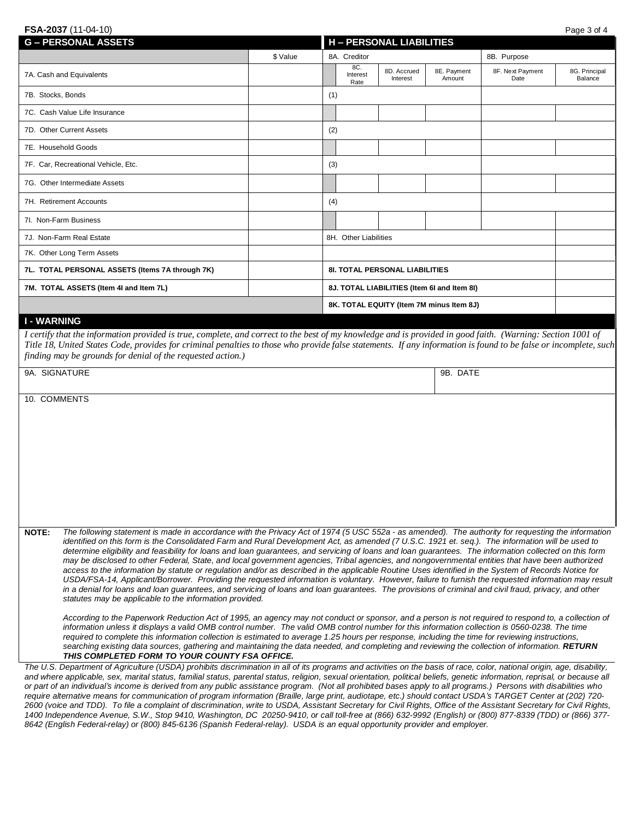| FSA-2037 (11-04-10)                                                                                                                                                |          |     |                                    |                                       |                                             |                          | Page 3 of 4              |
|--------------------------------------------------------------------------------------------------------------------------------------------------------------------|----------|-----|------------------------------------|---------------------------------------|---------------------------------------------|--------------------------|--------------------------|
| <b>G-PERSONAL ASSETS</b>                                                                                                                                           |          |     |                                    | <b>H - PERSONAL LIABILITIES</b>       |                                             |                          |                          |
|                                                                                                                                                                    | \$ Value |     | 8A. Creditor<br>8B. Purpose<br>8C. |                                       |                                             |                          |                          |
| 7A. Cash and Equivalents                                                                                                                                           |          |     | Interest<br>Rate                   | 8D. Accrued<br>Interest               | 8E. Payment<br>Amount                       | 8F. Next Payment<br>Date | 8G. Principal<br>Balance |
| 7B. Stocks, Bonds                                                                                                                                                  |          | (1) |                                    |                                       |                                             |                          |                          |
| 7C. Cash Value Life Insurance                                                                                                                                      |          |     |                                    |                                       |                                             |                          |                          |
| 7D. Other Current Assets                                                                                                                                           |          | (2) |                                    |                                       |                                             |                          |                          |
| 7E. Household Goods                                                                                                                                                |          |     |                                    |                                       |                                             |                          |                          |
| 7F. Car, Recreational Vehicle, Etc.                                                                                                                                |          | (3) |                                    |                                       |                                             |                          |                          |
| 7G. Other Intermediate Assets                                                                                                                                      |          |     |                                    |                                       |                                             |                          |                          |
| 7H. Retirement Accounts                                                                                                                                            |          | (4) |                                    |                                       |                                             |                          |                          |
| 7I. Non-Farm Business                                                                                                                                              |          |     |                                    |                                       |                                             |                          |                          |
| 7J. Non-Farm Real Estate                                                                                                                                           |          |     | 8H. Other Liabilities              |                                       |                                             |                          |                          |
| 7K. Other Long Term Assets                                                                                                                                         |          |     |                                    |                                       |                                             |                          |                          |
| 7L. TOTAL PERSONAL ASSETS (Items 7A through 7K)                                                                                                                    |          |     |                                    | <b>8I. TOTAL PERSONAL LIABILITIES</b> |                                             |                          |                          |
| 7M. TOTAL ASSETS (Item 4I and Item 7L)                                                                                                                             |          |     |                                    |                                       | 8J. TOTAL LIABILITIES (Item 6I and Item 8I) |                          |                          |
|                                                                                                                                                                    |          |     |                                    |                                       | 8K. TOTAL EQUITY (Item 7M minus Item 8J)    |                          |                          |
| 9A. SIGNATURE<br>10. COMMENTS                                                                                                                                      |          |     |                                    |                                       | 9B. DATE                                    |                          |                          |
| The following statement is made in accordance with the Privacy Act of 1974 (5 USC 552a - as amended). The authority for requesting the information<br><b>NOTE:</b> |          |     |                                    |                                       |                                             |                          |                          |

*2600 (voice and TDD). To file a complaint of discrimination, write to USDA, Assistant Secretary for Civil Rights, Office of the Assistant Secretary for Civil Rights, 1400 Independence Avenue, S.W., Stop 9410, Washington, DC 20250-9410, or call toll-free at (866) 632-9992 (English) or (800) 877-8339 (TDD) or (866) 377- 8642 (English Federal-relay) or (800) 845-6136 (Spanish Federal-relay). USDA is an equal opportunity provider and employer.*